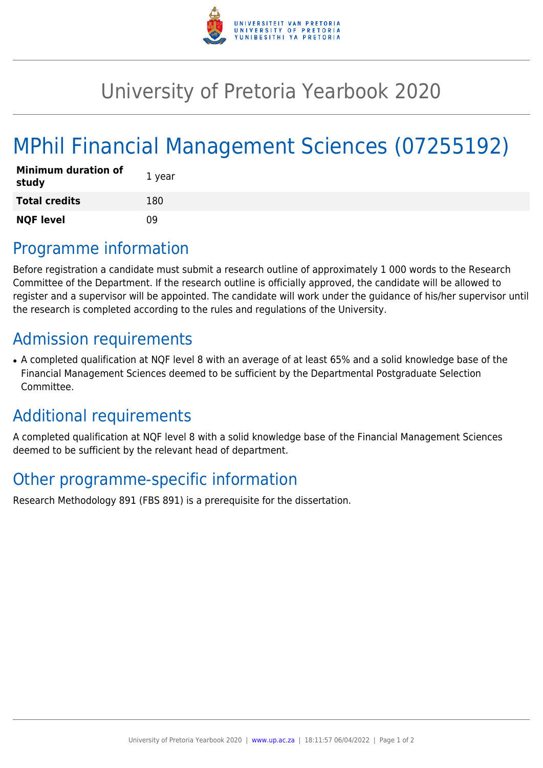

## University of Pretoria Yearbook 2020

# MPhil Financial Management Sciences (07255192)

| <b>Minimum duration of</b><br>study | 1 year |
|-------------------------------------|--------|
| <b>Total credits</b>                | 180    |
| <b>NQF level</b>                    | n۹     |

### Programme information

Before registration a candidate must submit a research outline of approximately 1 000 words to the Research Committee of the Department. If the research outline is officially approved, the candidate will be allowed to register and a supervisor will be appointed. The candidate will work under the guidance of his/her supervisor until the research is completed according to the rules and regulations of the University.

### Admission requirements

• A completed qualification at NQF level 8 with an average of at least 65% and a solid knowledge base of the Financial Management Sciences deemed to be sufficient by the Departmental Postgraduate Selection Committee.

### Additional requirements

A completed qualification at NQF level 8 with a solid knowledge base of the Financial Management Sciences deemed to be sufficient by the relevant head of department.

### Other programme-specific information

Research Methodology 891 (FBS 891) is a prerequisite for the dissertation.